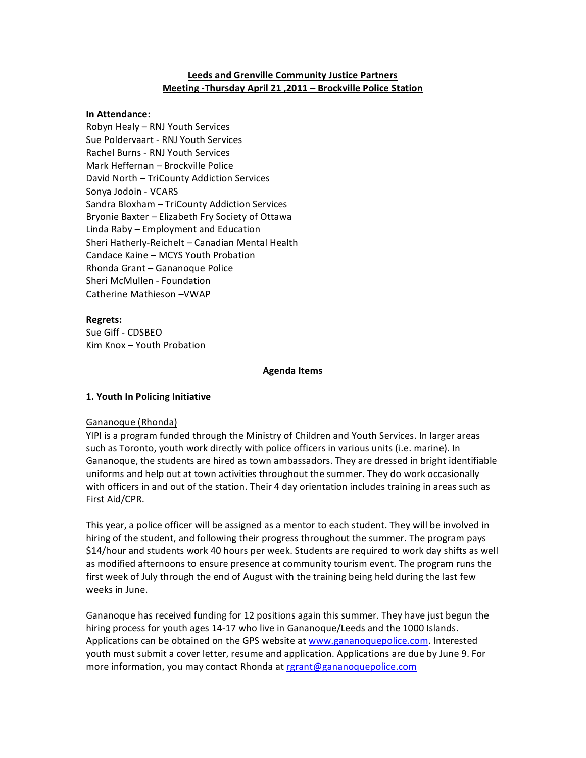# **Leeds and Grenville Community Justice Partners Meeting - Thursday April 21, 2011 – Brockville Police Station**

#### **In%Attendance:**

Robyn Healy – RNJ Youth Services Sue Poldervaart - RNJ Youth Services Rachel Burns - RNJ Youth Services Mark Heffernan – Brockville Police David North - TriCounty Addiction Services Sonya Jodoin - VCARS Sandra Bloxham – TriCounty Addiction Services Bryonie Baxter – Elizabeth Fry Society of Ottawa Linda  $Raby$  – Employment and Education Sheri Hatherly-Reichelt – Canadian Mental Health Candace Kaine – MCYS Youth Probation Rhonda Grant - Gananoque Police Sheri McMullen - Foundation Catherine Mathieson – VWAP

#### **Regrets:**

Sue Giff - CDSBEO Kim Knox  $-$  Youth Probation

#### **Agenda%Items**

### **1. Youth In Policing Initiative**

### Gananoque (Rhonda)

YIPI is a program funded through the Ministry of Children and Youth Services. In larger areas such as Toronto, youth work directly with police officers in various units (i.e. marine). In Gananoque, the students are hired as town ambassadors. They are dressed in bright identifiable uniforms and help out at town activities throughout the summer. They do work occasionally with officers in and out of the station. Their 4 day orientation includes training in areas such as First Aid/CPR.

This year, a police officer will be assigned as a mentor to each student. They will be involved in hiring of the student, and following their progress throughout the summer. The program pays \$14/hour and students work 40 hours per week. Students are required to work day shifts as well as modified afternoons to ensure presence at community tourism event. The program runs the first week of July through the end of August with the training being held during the last few weeks in June.

Gananoque has received funding for 12 positions again this summer. They have just begun the hiring process for youth ages 14-17 who live in Gananoque/Leeds and the 1000 Islands. Applications can be obtained on the GPS website at www.gananoquepolice.com. Interested youth must submit a cover letter, resume and application. Applications are due by June 9. For more information, you may contact Rhonda at rgrant@gananoquepolice.com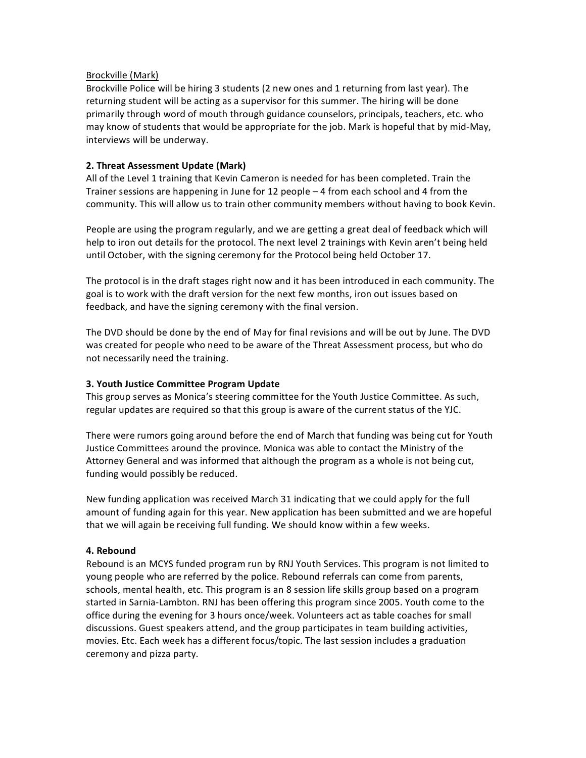## Brockville (Mark)

Brockville Police will be hiring 3 students (2 new ones and 1 returning from last year). The returning student will be acting as a supervisor for this summer. The hiring will be done primarily through word of mouth through guidance counselors, principals, teachers, etc. who may know of students that would be appropriate for the job. Mark is hopeful that by mid-May, interviews will be underway.

## **2. Threat Assessment Update (Mark)**

All of the Level 1 training that Kevin Cameron is needed for has been completed. Train the Trainer sessions are happening in June for 12 people  $-4$  from each school and 4 from the community. This will allow us to train other community members without having to book Kevin.

People are using the program regularly, and we are getting a great deal of feedback which will help to iron out details for the protocol. The next level 2 trainings with Kevin aren't being held until October, with the signing ceremony for the Protocol being held October 17.

The protocol is in the draft stages right now and it has been introduced in each community. The goal is to work with the draft version for the next few months, iron out issues based on feedback, and have the signing ceremony with the final version.

The DVD should be done by the end of May for final revisions and will be out by June. The DVD was created for people who need to be aware of the Threat Assessment process, but who do not necessarily need the training.

### **3. Youth Justice Committee Program Update**

This group serves as Monica's steering committee for the Youth Justice Committee. As such, regular updates are required so that this group is aware of the current status of the YJC.

There were rumors going around before the end of March that funding was being cut for Youth Justice Committees around the province. Monica was able to contact the Ministry of the Attorney General and was informed that although the program as a whole is not being cut, funding would possibly be reduced.

New funding application was received March 31 indicating that we could apply for the full amount of funding again for this year. New application has been submitted and we are hopeful that we will again be receiving full funding. We should know within a few weeks.

### **4.%Rebound**

Rebound is an MCYS funded program run by RNJ Youth Services. This program is not limited to young people who are referred by the police. Rebound referrals can come from parents, schools, mental health, etc. This program is an 8 session life skills group based on a program started in Sarnia-Lambton. RNJ has been offering this program since 2005. Youth come to the office during the evening for 3 hours once/week. Volunteers act as table coaches for small discussions. Guest speakers attend, and the group participates in team building activities, movies. Etc. Each week has a different focus/topic. The last session includes a graduation ceremony and pizza party.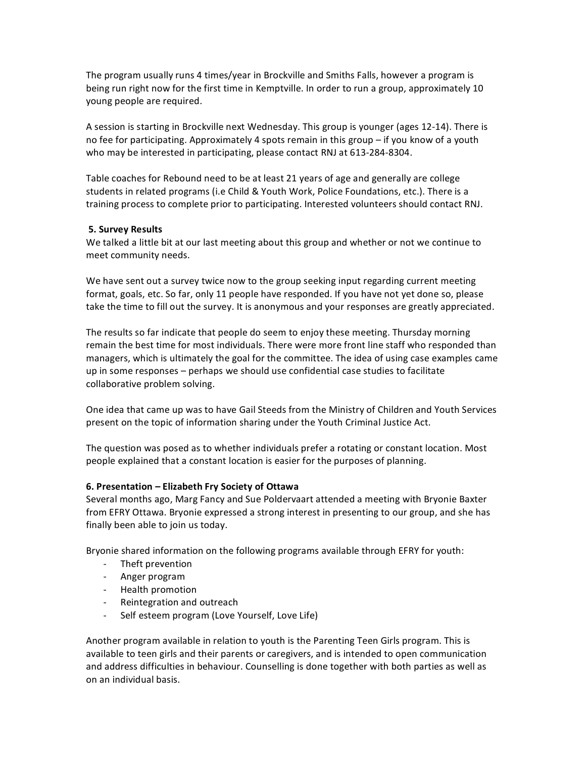The program usually runs 4 times/year in Brockville and Smiths Falls, however a program is being run right now for the first time in Kemptville. In order to run a group, approximately 10 young people are required.

A session is starting in Brockville next Wednesday. This group is younger (ages 12-14). There is no fee for participating. Approximately 4 spots remain in this group – if you know of a youth who may be interested in participating, please contact RNJ at 613-284-8304.

Table coaches for Rebound need to be at least 21 years of age and generally are college students in related programs (i.e Child & Youth Work, Police Foundations, etc.). There is a training process to complete prior to participating. Interested volunteers should contact RNJ.

# **5. Survey Results**

We talked a little bit at our last meeting about this group and whether or not we continue to meet community needs.

We have sent out a survey twice now to the group seeking input regarding current meeting format, goals, etc. So far, only 11 people have responded. If you have not yet done so, please take the time to fill out the survey. It is anonymous and your responses are greatly appreciated.

The results so far indicate that people do seem to enjoy these meeting. Thursday morning remain the best time for most individuals. There were more front line staff who responded than managers, which is ultimately the goal for the committee. The idea of using case examples came up in some responses  $-$  perhaps we should use confidential case studies to facilitate collaborative problem solving.

One idea that came up was to have Gail Steeds from the Ministry of Children and Youth Services present on the topic of information sharing under the Youth Criminal Justice Act.

The question was posed as to whether individuals prefer a rotating or constant location. Most people explained that a constant location is easier for the purposes of planning.

# **6. Presentation – Elizabeth Fry Society of Ottawa**

Several months ago, Marg Fancy and Sue Poldervaart attended a meeting with Bryonie Baxter from EFRY Ottawa. Bryonie expressed a strong interest in presenting to our group, and she has finally been able to join us today.

Bryonie shared information on the following programs available through EFRY for youth:

- Theft prevention
- Anger program
- Health promotion
- Reintegration and outreach
- Self esteem program (Love Yourself, Love Life)

Another program available in relation to youth is the Parenting Teen Girls program. This is available to teen girls and their parents or caregivers, and is intended to open communication and address difficulties in behaviour. Counselling is done together with both parties as well as on an individual basis.